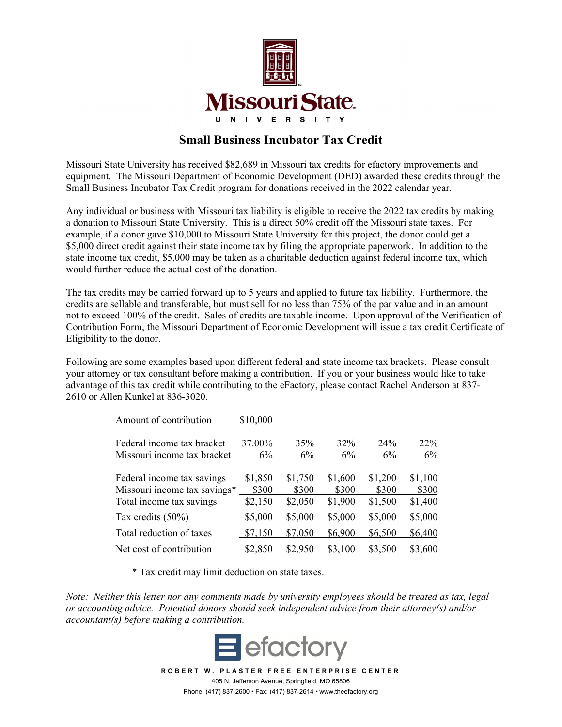

## **Small Business Incubator Tax Credit**

Missouri State University has received \$82,689 in Missouri tax credits for efactory improvements and equipment. The Missouri Department of Economic Development (DED) awarded these credits through the Small Business Incubator Tax Credit program for donations received in the 2022 calendar year.

Any individual or business with Missouri tax liability is eligible to receive the 2022 tax credits by making a donation to Missouri State University. This is a direct 50% credit off the Missouri state taxes. For example, if a donor gave \$10,000 to Missouri State University for this project, the donor could get a \$5,000 direct credit against their state income tax by filing the appropriate paperwork. In addition to the state income tax credit, \$5,000 may be taken as a charitable deduction against federal income tax, which would further reduce the actual cost of the donation.

The tax credits may be carried forward up to 5 years and applied to future tax liability. Furthermore, the credits are sellable and transferable, but must sell for no less than 75% of the par value and in an amount not to exceed 100% of the credit. Sales of credits are taxable income. Upon approval of the Verification of Contribution Form, the Missouri Department of Economic Development will issue a tax credit Certificate of Eligibility to the donor.

Following are some examples based upon different federal and state income tax brackets. Please consult your attorney or tax consultant before making a contribution. If you or your business would like to take advantage of this tax credit while contributing to the eFactory, please contact Rachel Anderson at 837- 2610 or Allen Kunkel at 836-3020.

| Amount of contribution       | \$10,000 |         |         |         |         |
|------------------------------|----------|---------|---------|---------|---------|
| Federal income tax bracket   | 37.00%   | 35%     | 32%     | 24%     | 22%     |
| Missouri income tax bracket  | 6%       | 6%      | 6%      | 6%      | 6%      |
| Federal income tax savings   | \$1,850  | \$1,750 | \$1,600 | \$1,200 | \$1,100 |
| Missouri income tax savings* | \$300    | \$300   | \$300   | \$300   | \$300   |
| Total income tax savings     | \$2,150  | \$2,050 | \$1,900 | \$1,500 | \$1,400 |
| Tax credits $(50\%)$         | \$5,000  | \$5,000 | \$5,000 | \$5,000 | \$5,000 |
| Total reduction of taxes     | \$7,150  | \$7,050 | \$6,900 | \$6,500 | \$6,400 |
| Net cost of contribution     | \$2,850  | \$2,950 | \$3,100 | \$3,500 | \$3,600 |

\* Tax credit may limit deduction on state taxes.

*Note: Neither this letter nor any comments made by university employees should be treated as tax, legal or accounting advice. Potential donors should seek independent advice from their attorney(s) and/or accountant(s) before making a contribution.* 



**ROBERT W. PLASTER FREE ENTERPRISE CENTER**  405 N. Jefferson Avenue, Springfield, MO 65806 Phone: (417) 837-2600 • Fax: (417) 837-2614 • www.theefactory.org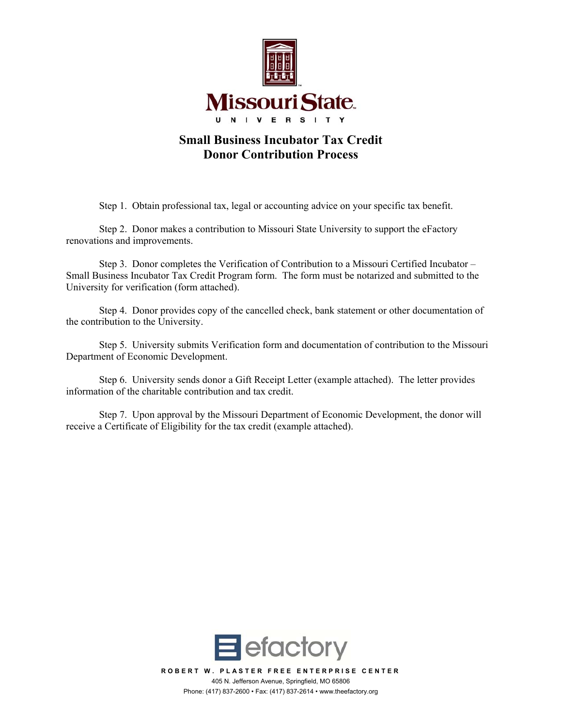

## **Small Business Incubator Tax Credit Donor Contribution Process**

Step 1. Obtain professional tax, legal or accounting advice on your specific tax benefit.

Step 2. Donor makes a contribution to Missouri State University to support the eFactory renovations and improvements.

 Step 3. Donor completes the Verification of Contribution to a Missouri Certified Incubator – Small Business Incubator Tax Credit Program form. The form must be notarized and submitted to the University for verification (form attached).

 Step 4. Donor provides copy of the cancelled check, bank statement or other documentation of the contribution to the University.

 Step 5. University submits Verification form and documentation of contribution to the Missouri Department of Economic Development.

 Step 6. University sends donor a Gift Receipt Letter (example attached). The letter provides information of the charitable contribution and tax credit.

 Step 7. Upon approval by the Missouri Department of Economic Development, the donor will receive a Certificate of Eligibility for the tax credit (example attached).

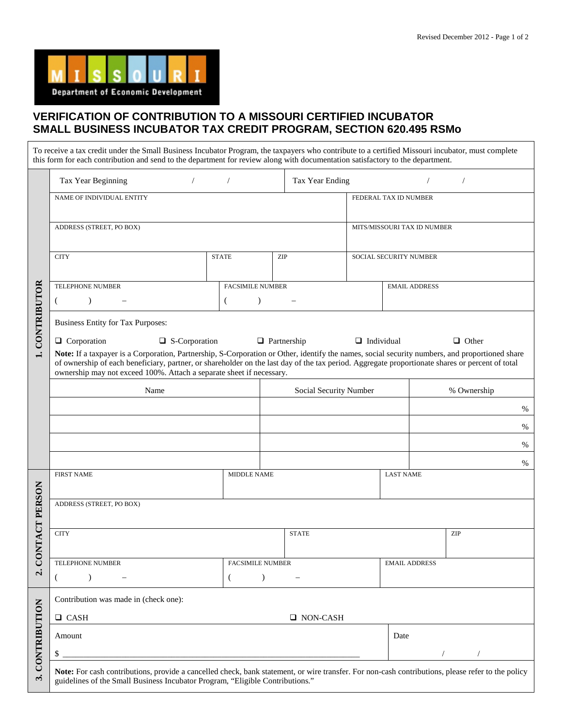## **VERIFICATION OF CONTRIBUTION TO A MISSOURI CERTIFIED INCUBATOR SMALL BUSINESS INCUBATOR TAX CREDIT PROGRAM, SECTION 620.495 RSMo**

|                      | To receive a tax credit under the Small Business Incubator Program, the taxpayers who contribute to a certified Missouri incubator, must complete<br>this form for each contribution and send to the department for review along with documentation satisfactory to the department.                                                                                       |                                           |                        |                        |                             |      |  |
|----------------------|---------------------------------------------------------------------------------------------------------------------------------------------------------------------------------------------------------------------------------------------------------------------------------------------------------------------------------------------------------------------------|-------------------------------------------|------------------------|------------------------|-----------------------------|------|--|
| CONTRIBUTOR          | Tax Year Beginning<br>$\sqrt{2}$                                                                                                                                                                                                                                                                                                                                          | $\sqrt{2}$                                | Tax Year Ending        |                        |                             |      |  |
|                      | NAME OF INDIVIDUAL ENTITY                                                                                                                                                                                                                                                                                                                                                 |                                           |                        | FEDERAL TAX ID NUMBER  |                             |      |  |
|                      | ADDRESS (STREET, PO BOX)                                                                                                                                                                                                                                                                                                                                                  |                                           |                        |                        | MITS/MISSOURI TAX ID NUMBER |      |  |
|                      | <b>CITY</b><br><b>STATE</b><br>ZIP                                                                                                                                                                                                                                                                                                                                        |                                           |                        | SOCIAL SECURITY NUMBER |                             |      |  |
|                      | <b>TELEPHONE NUMBER</b><br>$\lambda$<br>€                                                                                                                                                                                                                                                                                                                                 | <b>FACSIMILE NUMBER</b><br>$\lambda$<br>€ |                        |                        | <b>EMAIL ADDRESS</b>        |      |  |
|                      | <b>Business Entity for Tax Purposes:</b><br>$\Box$ Corporation<br>$\Box$ S-Corporation                                                                                                                                                                                                                                                                                    |                                           | $\Box$ Partnership     | $\Box$ Individual      | $\Box$ Other                |      |  |
|                      | Note: If a taxpayer is a Corporation, Partnership, S-Corporation or Other, identify the names, social security numbers, and proportioned share<br>of ownership of each beneficiary, partner, or shareholder on the last day of the tax period. Aggregate proportionate shares or percent of total<br>ownership may not exceed 100%. Attach a separate sheet if necessary. |                                           |                        |                        |                             |      |  |
|                      | Name                                                                                                                                                                                                                                                                                                                                                                      |                                           | Social Security Number |                        | % Ownership                 |      |  |
|                      |                                                                                                                                                                                                                                                                                                                                                                           |                                           |                        |                        |                             | %    |  |
|                      |                                                                                                                                                                                                                                                                                                                                                                           |                                           |                        |                        |                             | %    |  |
|                      |                                                                                                                                                                                                                                                                                                                                                                           |                                           |                        |                        |                             | %    |  |
|                      |                                                                                                                                                                                                                                                                                                                                                                           |                                           |                        |                        |                             | $\%$ |  |
|                      | <b>FIRST NAME</b>                                                                                                                                                                                                                                                                                                                                                         | MIDDLE NAME                               |                        | <b>LAST NAME</b>       |                             |      |  |
|                      | ADDRESS (STREET, PO BOX)                                                                                                                                                                                                                                                                                                                                                  |                                           |                        |                        |                             |      |  |
| <b>DNTACT PERSON</b> | <b>CITY</b>                                                                                                                                                                                                                                                                                                                                                               |                                           | <b>STATE</b>           |                        | ZIP                         |      |  |
| Ō                    | TELEPHONE NUMBER                                                                                                                                                                                                                                                                                                                                                          | <b>FACSIMILE NUMBER</b>                   |                        |                        | <b>EMAIL ADDRESS</b>        |      |  |
| $\dot{\mathbf{c}}$   | $\left($                                                                                                                                                                                                                                                                                                                                                                  | - (                                       |                        |                        |                             |      |  |
|                      | Contribution was made in (check one):                                                                                                                                                                                                                                                                                                                                     |                                           |                        |                        |                             |      |  |
|                      | $\Box$ CASH                                                                                                                                                                                                                                                                                                                                                               |                                           | $\Box$ NON-CASH        |                        |                             |      |  |
| <b>CONTRIBUTION</b>  | Amount                                                                                                                                                                                                                                                                                                                                                                    |                                           |                        | Date                   |                             |      |  |
|                      | \$                                                                                                                                                                                                                                                                                                                                                                        |                                           |                        |                        |                             |      |  |
| $\ddot{ }$           | Note: For cash contributions, provide a cancelled check, bank statement, or wire transfer. For non-cash contributions, please refer to the policy<br>guidelines of the Small Business Incubator Program, "Eligible Contributions."                                                                                                                                        |                                           |                        |                        |                             |      |  |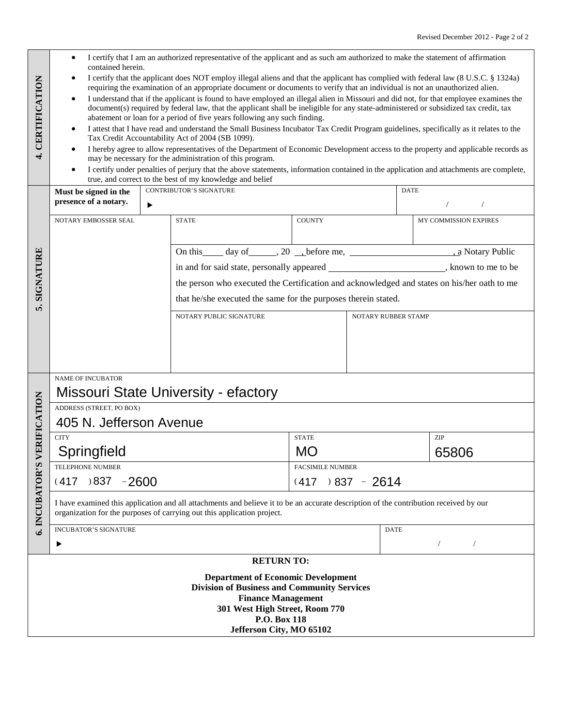|                                                                                 | ٠<br>contained herein.                                                                                                                                                                                           | I certify that I am an authorized representative of the applicant and as such am authorized to make the statement of affirmation                                                                                                                                                                                                                                                                                                                                                                                                                                                                                                                                                                                                                                                                                                                                                                                                                                                                                                                                                                                                                                           |               |                           |                          |  |
|---------------------------------------------------------------------------------|------------------------------------------------------------------------------------------------------------------------------------------------------------------------------------------------------------------|----------------------------------------------------------------------------------------------------------------------------------------------------------------------------------------------------------------------------------------------------------------------------------------------------------------------------------------------------------------------------------------------------------------------------------------------------------------------------------------------------------------------------------------------------------------------------------------------------------------------------------------------------------------------------------------------------------------------------------------------------------------------------------------------------------------------------------------------------------------------------------------------------------------------------------------------------------------------------------------------------------------------------------------------------------------------------------------------------------------------------------------------------------------------------|---------------|---------------------------|--------------------------|--|
| CERTIFICATION                                                                   | $\bullet$<br>$\bullet$<br>$\bullet$                                                                                                                                                                              | I certify that the applicant does NOT employ illegal aliens and that the applicant has complied with federal law (8 U.S.C. § 1324a)<br>requiring the examination of an appropriate document or documents to verify that an individual is not an unauthorized alien.<br>I understand that if the applicant is found to have employed an illegal alien in Missouri and did not, for that employee examines the<br>document(s) required by federal law, that the applicant shall be ineligible for any state-administered or subsidized tax credit, tax<br>abatement or loan for a period of five years following any such finding.<br>I attest that I have read and understand the Small Business Incubator Tax Credit Program guidelines, specifically as it relates to the<br>Tax Credit Accountability Act of 2004 (SB 1099).<br>I hereby agree to allow representatives of the Department of Economic Development access to the property and applicable records as<br>may be necessary for the administration of this program.<br>I certify under penalties of perjury that the above statements, information contained in the application and attachments are complete, |               |                           |                          |  |
|                                                                                 |                                                                                                                                                                                                                  | true, and correct to the best of my knowledge and belief                                                                                                                                                                                                                                                                                                                                                                                                                                                                                                                                                                                                                                                                                                                                                                                                                                                                                                                                                                                                                                                                                                                   |               |                           |                          |  |
|                                                                                 | <b>CONTRIBUTOR'S SIGNATURE</b><br>Must be signed in the<br>presence of a notary.<br>▶                                                                                                                            |                                                                                                                                                                                                                                                                                                                                                                                                                                                                                                                                                                                                                                                                                                                                                                                                                                                                                                                                                                                                                                                                                                                                                                            |               | <b>DATE</b><br>$\sqrt{2}$ |                          |  |
|                                                                                 | NOTARY EMBOSSER SEAL                                                                                                                                                                                             | <b>STATE</b>                                                                                                                                                                                                                                                                                                                                                                                                                                                                                                                                                                                                                                                                                                                                                                                                                                                                                                                                                                                                                                                                                                                                                               | <b>COUNTY</b> |                           | MY COMMISSION EXPIRES    |  |
|                                                                                 |                                                                                                                                                                                                                  | On this day of 3.20 before me, 20 before me, 20 a Notary Public                                                                                                                                                                                                                                                                                                                                                                                                                                                                                                                                                                                                                                                                                                                                                                                                                                                                                                                                                                                                                                                                                                            |               |                           |                          |  |
|                                                                                 |                                                                                                                                                                                                                  | in and for said state, personally appeared ___________________________, known to me to be                                                                                                                                                                                                                                                                                                                                                                                                                                                                                                                                                                                                                                                                                                                                                                                                                                                                                                                                                                                                                                                                                  |               |                           |                          |  |
| SIGNATURE                                                                       |                                                                                                                                                                                                                  | the person who executed the Certification and acknowledged and states on his/her oath to me                                                                                                                                                                                                                                                                                                                                                                                                                                                                                                                                                                                                                                                                                                                                                                                                                                                                                                                                                                                                                                                                                |               |                           |                          |  |
|                                                                                 |                                                                                                                                                                                                                  | that he/she executed the same for the purposes therein stated.                                                                                                                                                                                                                                                                                                                                                                                                                                                                                                                                                                                                                                                                                                                                                                                                                                                                                                                                                                                                                                                                                                             |               |                           |                          |  |
| ທ່                                                                              |                                                                                                                                                                                                                  | NOTARY PUBLIC SIGNATURE                                                                                                                                                                                                                                                                                                                                                                                                                                                                                                                                                                                                                                                                                                                                                                                                                                                                                                                                                                                                                                                                                                                                                    |               | NOTARY RUBBER STAMP       |                          |  |
|                                                                                 |                                                                                                                                                                                                                  |                                                                                                                                                                                                                                                                                                                                                                                                                                                                                                                                                                                                                                                                                                                                                                                                                                                                                                                                                                                                                                                                                                                                                                            |               |                           |                          |  |
|                                                                                 |                                                                                                                                                                                                                  |                                                                                                                                                                                                                                                                                                                                                                                                                                                                                                                                                                                                                                                                                                                                                                                                                                                                                                                                                                                                                                                                                                                                                                            |               |                           |                          |  |
|                                                                                 |                                                                                                                                                                                                                  |                                                                                                                                                                                                                                                                                                                                                                                                                                                                                                                                                                                                                                                                                                                                                                                                                                                                                                                                                                                                                                                                                                                                                                            |               |                           |                          |  |
|                                                                                 | <b>NAME OF INCUBATOR</b>                                                                                                                                                                                         |                                                                                                                                                                                                                                                                                                                                                                                                                                                                                                                                                                                                                                                                                                                                                                                                                                                                                                                                                                                                                                                                                                                                                                            |               |                           |                          |  |
|                                                                                 |                                                                                                                                                                                                                  | <b>Missouri State University - efactory</b>                                                                                                                                                                                                                                                                                                                                                                                                                                                                                                                                                                                                                                                                                                                                                                                                                                                                                                                                                                                                                                                                                                                                |               |                           |                          |  |
|                                                                                 | ADDRESS (STREET, PO BOX)                                                                                                                                                                                         |                                                                                                                                                                                                                                                                                                                                                                                                                                                                                                                                                                                                                                                                                                                                                                                                                                                                                                                                                                                                                                                                                                                                                                            |               |                           |                          |  |
| <b>ERIFICATION</b>                                                              | 405 N. Jefferson Avenue                                                                                                                                                                                          |                                                                                                                                                                                                                                                                                                                                                                                                                                                                                                                                                                                                                                                                                                                                                                                                                                                                                                                                                                                                                                                                                                                                                                            |               |                           |                          |  |
|                                                                                 | <b>CITY</b>                                                                                                                                                                                                      |                                                                                                                                                                                                                                                                                                                                                                                                                                                                                                                                                                                                                                                                                                                                                                                                                                                                                                                                                                                                                                                                                                                                                                            | <b>STATE</b>  |                           | ZIP                      |  |
|                                                                                 | Springfield                                                                                                                                                                                                      |                                                                                                                                                                                                                                                                                                                                                                                                                                                                                                                                                                                                                                                                                                                                                                                                                                                                                                                                                                                                                                                                                                                                                                            | <b>MO</b>     |                           | 65806                    |  |
|                                                                                 | TELEPHONE NUMBER                                                                                                                                                                                                 | <b>FACSIMILE NUMBER</b>                                                                                                                                                                                                                                                                                                                                                                                                                                                                                                                                                                                                                                                                                                                                                                                                                                                                                                                                                                                                                                                                                                                                                    |               |                           |                          |  |
|                                                                                 | $0.837 - 2600$<br>$(417) 837 - 2614$<br>(417)                                                                                                                                                                    |                                                                                                                                                                                                                                                                                                                                                                                                                                                                                                                                                                                                                                                                                                                                                                                                                                                                                                                                                                                                                                                                                                                                                                            |               |                           |                          |  |
| 6. INCUBATOR'S                                                                  | I have examined this application and all attachments and believe it to be an accurate description of the contribution received by our<br>organization for the purposes of carrying out this application project. |                                                                                                                                                                                                                                                                                                                                                                                                                                                                                                                                                                                                                                                                                                                                                                                                                                                                                                                                                                                                                                                                                                                                                                            |               |                           |                          |  |
|                                                                                 | <b>INCUBATOR'S SIGNATURE</b>                                                                                                                                                                                     |                                                                                                                                                                                                                                                                                                                                                                                                                                                                                                                                                                                                                                                                                                                                                                                                                                                                                                                                                                                                                                                                                                                                                                            |               | <b>DATE</b>               |                          |  |
|                                                                                 | ▶                                                                                                                                                                                                                |                                                                                                                                                                                                                                                                                                                                                                                                                                                                                                                                                                                                                                                                                                                                                                                                                                                                                                                                                                                                                                                                                                                                                                            |               |                           | $\sqrt{2}$<br>$\sqrt{2}$ |  |
|                                                                                 |                                                                                                                                                                                                                  | <b>RETURN TO:</b>                                                                                                                                                                                                                                                                                                                                                                                                                                                                                                                                                                                                                                                                                                                                                                                                                                                                                                                                                                                                                                                                                                                                                          |               |                           |                          |  |
|                                                                                 |                                                                                                                                                                                                                  | <b>Department of Economic Development</b>                                                                                                                                                                                                                                                                                                                                                                                                                                                                                                                                                                                                                                                                                                                                                                                                                                                                                                                                                                                                                                                                                                                                  |               |                           |                          |  |
| <b>Division of Business and Community Services</b><br><b>Finance Management</b> |                                                                                                                                                                                                                  |                                                                                                                                                                                                                                                                                                                                                                                                                                                                                                                                                                                                                                                                                                                                                                                                                                                                                                                                                                                                                                                                                                                                                                            |               |                           |                          |  |
|                                                                                 | 301 West High Street, Room 770                                                                                                                                                                                   |                                                                                                                                                                                                                                                                                                                                                                                                                                                                                                                                                                                                                                                                                                                                                                                                                                                                                                                                                                                                                                                                                                                                                                            |               |                           |                          |  |
|                                                                                 |                                                                                                                                                                                                                  | P.O. Box 118                                                                                                                                                                                                                                                                                                                                                                                                                                                                                                                                                                                                                                                                                                                                                                                                                                                                                                                                                                                                                                                                                                                                                               |               |                           |                          |  |
|                                                                                 | Jefferson City, MO 65102                                                                                                                                                                                         |                                                                                                                                                                                                                                                                                                                                                                                                                                                                                                                                                                                                                                                                                                                                                                                                                                                                                                                                                                                                                                                                                                                                                                            |               |                           |                          |  |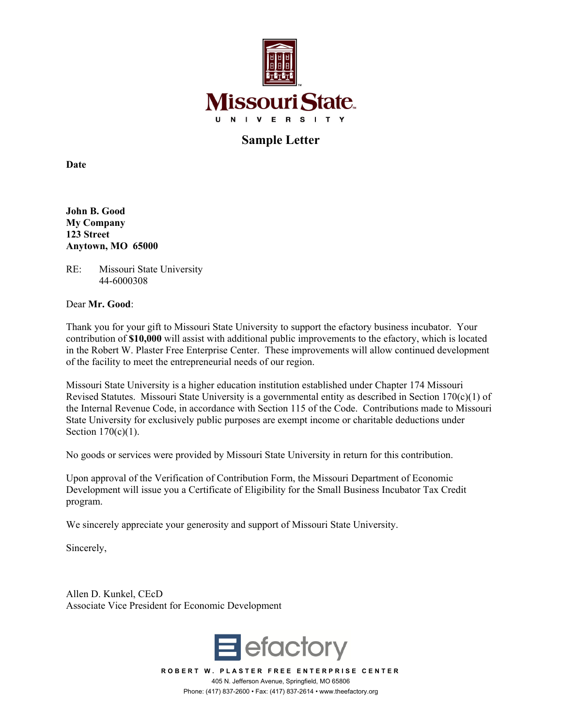

**Sample Letter** 

**Date** 

**John B. Good My Company 123 Street Anytown, MO 65000**

RE: Missouri State University 44-6000308

Dear **Mr. Good**:

Thank you for your gift to Missouri State University to support the efactory business incubator. Your contribution of **\$10,000** will assist with additional public improvements to the efactory, which is located in the Robert W. Plaster Free Enterprise Center. These improvements will allow continued development of the facility to meet the entrepreneurial needs of our region.

Missouri State University is a higher education institution established under Chapter 174 Missouri Revised Statutes. Missouri State University is a governmental entity as described in Section 170(c)(1) of the Internal Revenue Code, in accordance with Section 115 of the Code. Contributions made to Missouri State University for exclusively public purposes are exempt income or charitable deductions under Section 170(c)(1).

No goods or services were provided by Missouri State University in return for this contribution.

Upon approval of the Verification of Contribution Form, the Missouri Department of Economic Development will issue you a Certificate of Eligibility for the Small Business Incubator Tax Credit program.

We sincerely appreciate your generosity and support of Missouri State University.

Sincerely,

Allen D. Kunkel, CEcD Associate Vice President for Economic Development



**ROBERT W. PLASTER FREE ENTERPRISE CENTER**  405 N. Jefferson Avenue, Springfield, MO 65806 Phone: (417) 837-2600 • Fax: (417) 837-2614 • www.theefactory.org